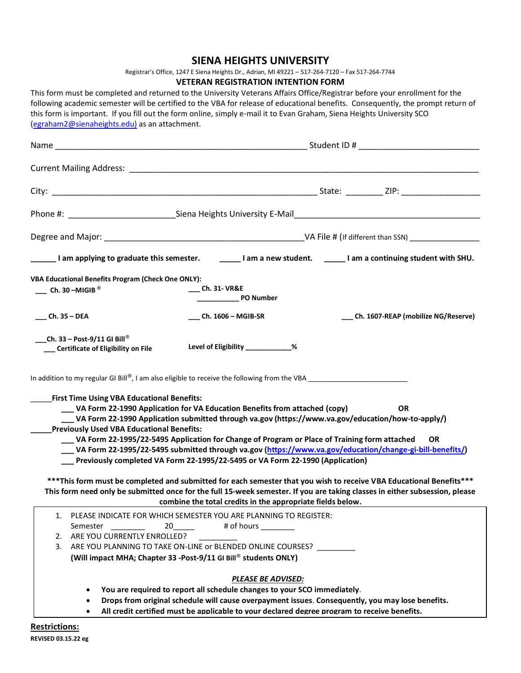## **SIENA HEIGHTS UNIVERSITY**

Registrar's Office, 1247 E Siena Heights Dr., Adrian, MI 49221 – 517-264-7120 – Fax 517-264-7744

## **VETERAN REGISTRATION INTENTION FORM**

This form must be completed and returned to the University Veterans Affairs Office/Registrar before your enrollment for the following academic semester will be certified to the VBA for release of educational benefits. Consequently, the prompt return of this form is important. If you fill out the form online, simply e-mail it to Evan Graham, Siena Heights University SCO [\(egraham2@sienaheights.edu\)](mailto:egraham2@sienaheights.edu)) as an attachment.

|                                                                                                                                                                                           | _____I am applying to graduate this semester. ______I am a new student. _____I am a continuing student with SHU.                                                                                                                                                                                                                                                                                                                                                                                                                                                                                                                              |
|-------------------------------------------------------------------------------------------------------------------------------------------------------------------------------------------|-----------------------------------------------------------------------------------------------------------------------------------------------------------------------------------------------------------------------------------------------------------------------------------------------------------------------------------------------------------------------------------------------------------------------------------------------------------------------------------------------------------------------------------------------------------------------------------------------------------------------------------------------|
| <b>VBA Educational Benefits Program (Check One ONLY):</b><br>$\frac{1}{2}$ Ch. 30 – MIGIB <sup>®</sup>                                                                                    | ____ Ch. 31- VR&E                                                                                                                                                                                                                                                                                                                                                                                                                                                                                                                                                                                                                             |
| $m =$ Ch. 35 – DEA                                                                                                                                                                        | __ Ch. 1607-REAP (mobilize NG/Reserve)<br>___ Ch. 1606 - MGIB-SR                                                                                                                                                                                                                                                                                                                                                                                                                                                                                                                                                                              |
| ___Ch. 33 - Post-9/11 GI Bill®<br>__ Certificate of Eligibility on File                                                                                                                   | Level of Eligibility ____________%                                                                                                                                                                                                                                                                                                                                                                                                                                                                                                                                                                                                            |
| <b>First Time Using VBA Educational Benefits:</b><br><b>Previously Used VBA Educational Benefits:</b>                                                                                     | __ VA Form 22-1990 Application for VA Education Benefits from attached (copy)<br><b>OR</b><br>[// VA Form 22-1990 Application submitted through va.gov (https://www.va.gov/education/how-to-apply<br>___ VA Form 22-1995/22-5495 Application for Change of Program or Place of Training form attached<br><b>OR</b><br>[/ VA Form 22-1995/22-5495 submitted through va.gov (https://www.va.gov/education/change-gi-bill-benefits)<br>___ Previously completed VA Form 22-1995/22-5495 or VA Form 22-1990 (Application)<br>*** This form must be completed and submitted for each semester that you wish to receive VBA Educational Benefits*** |
| This form need only be submitted once for the full 15-week semester. If you are taking classes in either subsession, please<br>combine the total credits in the appropriate fields below. |                                                                                                                                                                                                                                                                                                                                                                                                                                                                                                                                                                                                                                               |
| Semester<br>ARE YOU CURRENTLY ENROLLED?<br>2.<br>3.                                                                                                                                       | 1. PLEASE INDICATE FOR WHICH SEMESTER YOU ARE PLANNING TO REGISTER:<br>20<br># of hours ________<br>ARE YOU PLANNING TO TAKE ON-LINE or BLENDED ONLINE COURSES?<br>(Will impact MHA; Chapter 33 - Post-9/11 GI Bill® students ONLY)                                                                                                                                                                                                                                                                                                                                                                                                           |
|                                                                                                                                                                                           | <b>PLEASE BE ADVISED:</b><br>You are required to report all schedule changes to your SCO immediately.<br>Drops from original schedule will cause overpayment issues. Consequently, you may lose benefits.<br>All credit certified must be applicable to your declared degree program to receive benefits.                                                                                                                                                                                                                                                                                                                                     |